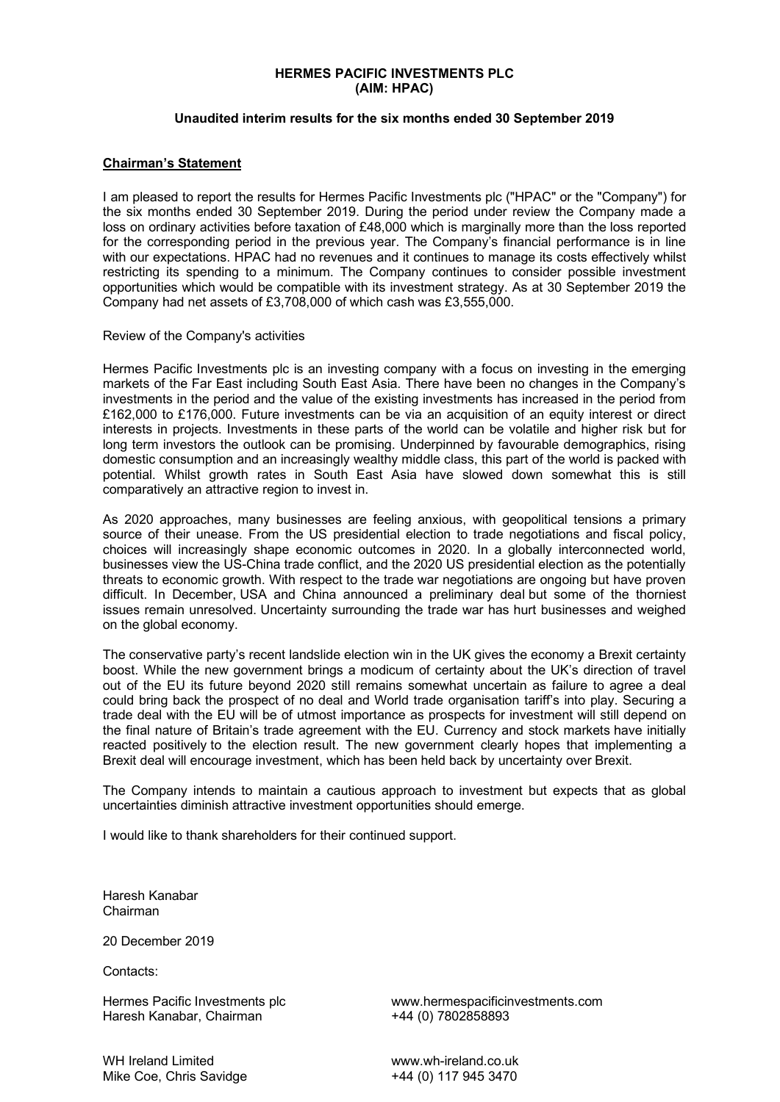### **HERMES PACIFIC INVESTMENTS PLC (AIM: HPAC)**

# **Unaudited interim results for the six months ended 30 September 2019**

# **Chairman's Statement**

I am pleased to report the results for Hermes Pacific Investments plc ("HPAC" or the "Company") for the six months ended 30 September 2019. During the period under review the Company made a loss on ordinary activities before taxation of £48,000 which is marginally more than the loss reported for the corresponding period in the previous year. The Company's financial performance is in line with our expectations. HPAC had no revenues and it continues to manage its costs effectively whilst restricting its spending to a minimum. The Company continues to consider possible investment opportunities which would be compatible with its investment strategy. As at 30 September 2019 the Company had net assets of £3,708,000 of which cash was £3,555,000.

#### Review of the Company's activities

Hermes Pacific Investments plc is an investing company with a focus on investing in the emerging markets of the Far East including South East Asia. There have been no changes in the Company's investments in the period and the value of the existing investments has increased in the period from £162,000 to £176,000. Future investments can be via an acquisition of an equity interest or direct interests in projects. Investments in these parts of the world can be volatile and higher risk but for long term investors the outlook can be promising. Underpinned by favourable demographics, rising domestic consumption and an increasingly wealthy middle class, this part of the world is packed with potential. Whilst growth rates in South East Asia have slowed down somewhat this is still comparatively an attractive region to invest in.

As 2020 approaches, many businesses are feeling anxious, with geopolitical tensions a primary source of their unease. From the US presidential election to trade negotiations and fiscal policy, choices will increasingly shape economic outcomes in 2020. In a globally interconnected world, businesses view the US-China trade conflict, and the 2020 US presidential election as the potentially threats to economic growth. With respect to the trade war negotiations are ongoing but have proven difficult. In December, USA and China announced a preliminary deal but some of the thorniest issues remain unresolved. Uncertainty surrounding the trade war has hurt businesses and weighed on the global economy.

The conservative party's recent landslide election win in the UK gives the economy a Brexit certainty boost. While the new government brings a modicum of certainty about the UK's direction of travel out of the EU its future beyond 2020 still remains somewhat uncertain as failure to agree a deal could bring back the prospect of no deal and World trade organisation tariff's into play. Securing a trade deal with the EU will be of utmost importance as prospects for investment will still depend on the final nature of Britain's trade agreement with the EU. Currency and stock markets have initially reacted positively to the election result. The new government clearly hopes that implementing a Brexit deal will encourage investment, which has been held back by uncertainty over Brexit.

The Company intends to maintain a cautious approach to investment but expects that as global uncertainties diminish attractive investment opportunities should emerge.

I would like to thank shareholders for their continued support.

Haresh Kanabar Chairman

20 December 2019

Contacts:

Haresh Kanabar, Chairman

Hermes Pacific Investments plc **www.hermespacificinvestments.com**<br>
Haresh Kanabar. Chairman<br>  $+44$  (0) 7802858893

WH Ireland Limited **WH Ireland.co.uk** Mike Coe, Chris Savidge +44 (0) 117 945 3470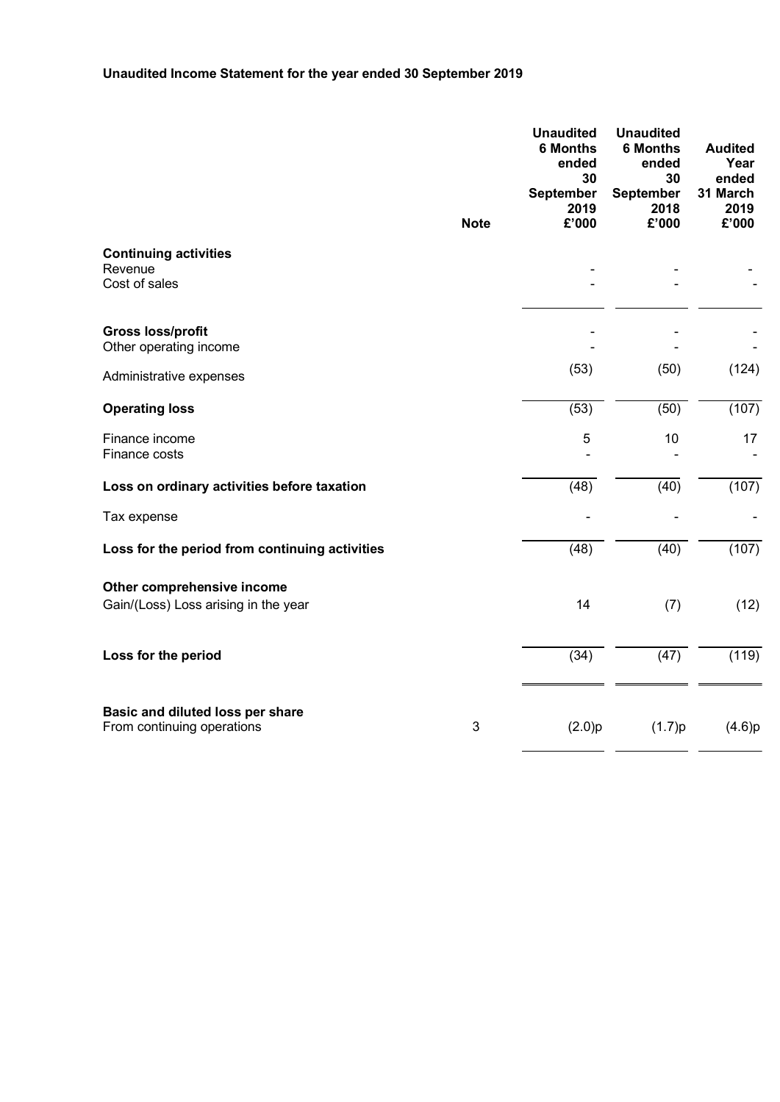# **Unaudited Income Statement for the year ended 30 September 2019**

|                                                                    |                           | <b>Unaudited</b><br><b>6 Months</b><br>ended<br>30<br><b>September</b><br>2019 | <b>Unaudited</b><br><b>6 Months</b><br>ended<br>30<br><b>September</b><br>2018 | <b>Audited</b><br>Year<br>ended<br>31 March<br>2019 |
|--------------------------------------------------------------------|---------------------------|--------------------------------------------------------------------------------|--------------------------------------------------------------------------------|-----------------------------------------------------|
|                                                                    | <b>Note</b>               | £'000                                                                          | £'000                                                                          | £'000                                               |
| <b>Continuing activities</b><br>Revenue<br>Cost of sales           |                           |                                                                                |                                                                                |                                                     |
| <b>Gross loss/profit</b><br>Other operating income                 |                           |                                                                                |                                                                                |                                                     |
| Administrative expenses                                            |                           | (53)                                                                           | (50)                                                                           | (124)                                               |
| <b>Operating loss</b>                                              |                           | (53)                                                                           | (50)                                                                           | (107)                                               |
| Finance income<br>Finance costs                                    |                           | 5                                                                              | 10                                                                             | 17                                                  |
| Loss on ordinary activities before taxation                        |                           | (48)                                                                           | (40)                                                                           | (107)                                               |
| Tax expense                                                        |                           |                                                                                |                                                                                |                                                     |
| Loss for the period from continuing activities                     |                           | (48)                                                                           | $\overline{(40)}$                                                              | (107)                                               |
| Other comprehensive income<br>Gain/(Loss) Loss arising in the year |                           | 14                                                                             | (7)                                                                            | (12)                                                |
| Loss for the period                                                |                           | (34)                                                                           | (47)                                                                           | (119)                                               |
| Basic and diluted loss per share<br>From continuing operations     | $\ensuremath{\mathsf{3}}$ | (2.0)p                                                                         | (1.7)p                                                                         | (4.6)p                                              |

 $\overline{a}$  and  $\overline{a}$ 

 $\overline{a}$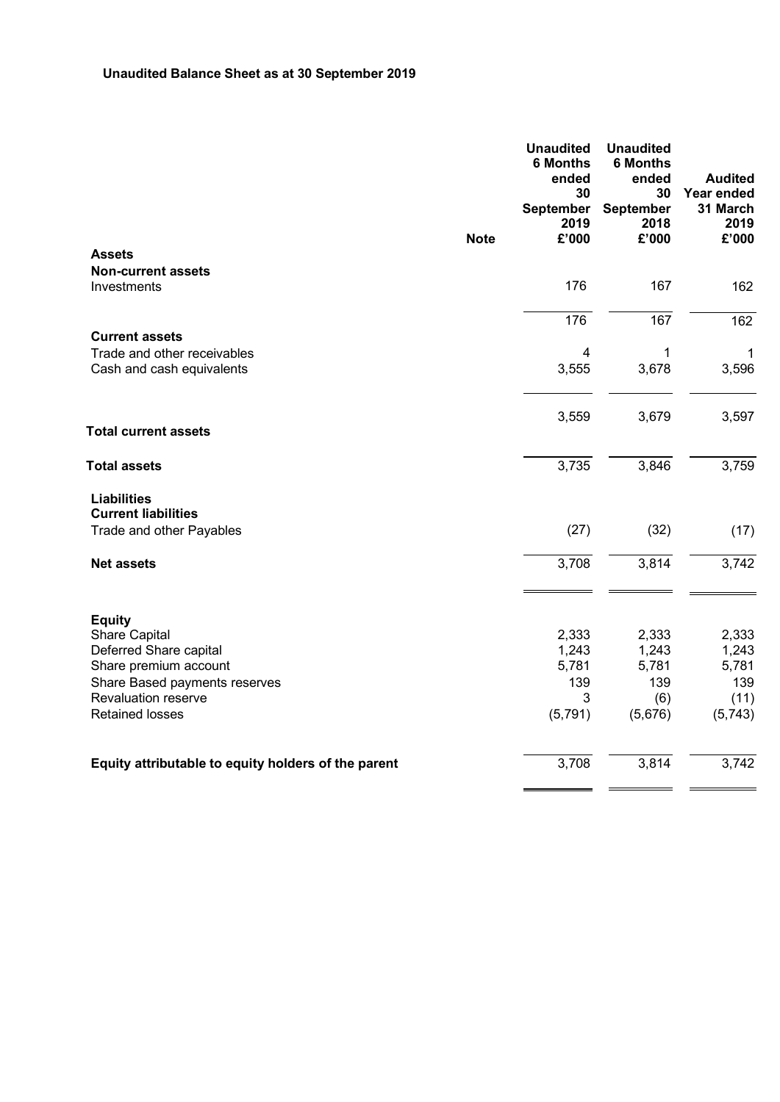|                                                     |             | <b>Unaudited</b><br><b>6 Months</b><br>ended<br>30<br><b>September</b><br>2019 | <b>Unaudited</b><br><b>6 Months</b><br>ended<br>30<br><b>September</b><br>2018 | <b>Audited</b><br>Year ended<br>31 March<br>2019 |
|-----------------------------------------------------|-------------|--------------------------------------------------------------------------------|--------------------------------------------------------------------------------|--------------------------------------------------|
|                                                     | <b>Note</b> | £'000                                                                          | £'000                                                                          | £'000                                            |
| <b>Assets</b>                                       |             |                                                                                |                                                                                |                                                  |
| <b>Non-current assets</b>                           |             |                                                                                |                                                                                |                                                  |
| Investments                                         |             | 176                                                                            | 167                                                                            | 162                                              |
|                                                     |             | 176                                                                            | 167                                                                            | 162                                              |
| <b>Current assets</b>                               |             |                                                                                |                                                                                |                                                  |
| Trade and other receivables                         |             | $\overline{\mathcal{A}}$                                                       | $\mathbf 1$                                                                    | $\mathbf 1$                                      |
| Cash and cash equivalents                           |             | 3,555                                                                          | 3,678                                                                          | 3,596                                            |
|                                                     |             | 3,559                                                                          | 3,679                                                                          | 3,597                                            |
| <b>Total current assets</b>                         |             |                                                                                |                                                                                |                                                  |
| <b>Total assets</b>                                 |             | 3,735                                                                          | 3,846                                                                          | 3,759                                            |
| <b>Liabilities</b>                                  |             |                                                                                |                                                                                |                                                  |
| <b>Current liabilities</b>                          |             |                                                                                |                                                                                |                                                  |
| Trade and other Payables                            |             | (27)                                                                           | (32)                                                                           | (17)                                             |
| <b>Net assets</b>                                   |             | 3,708                                                                          | 3,814                                                                          | 3,742                                            |
|                                                     |             |                                                                                |                                                                                |                                                  |
| <b>Equity</b>                                       |             |                                                                                |                                                                                |                                                  |
| Share Capital                                       |             | 2,333                                                                          | 2,333                                                                          | 2,333                                            |
| Deferred Share capital<br>Share premium account     |             | 1,243<br>5,781                                                                 | 1,243<br>5,781                                                                 | 1,243<br>5,781                                   |
| Share Based payments reserves                       |             | 139                                                                            | 139                                                                            | 139                                              |
| <b>Revaluation reserve</b>                          |             | 3                                                                              | (6)                                                                            | (11)                                             |
| <b>Retained losses</b>                              |             | (5, 791)                                                                       | (5,676)                                                                        | (5,743)                                          |
|                                                     |             |                                                                                |                                                                                |                                                  |
| Equity attributable to equity holders of the parent |             | 3,708                                                                          | 3,814                                                                          | 3,742                                            |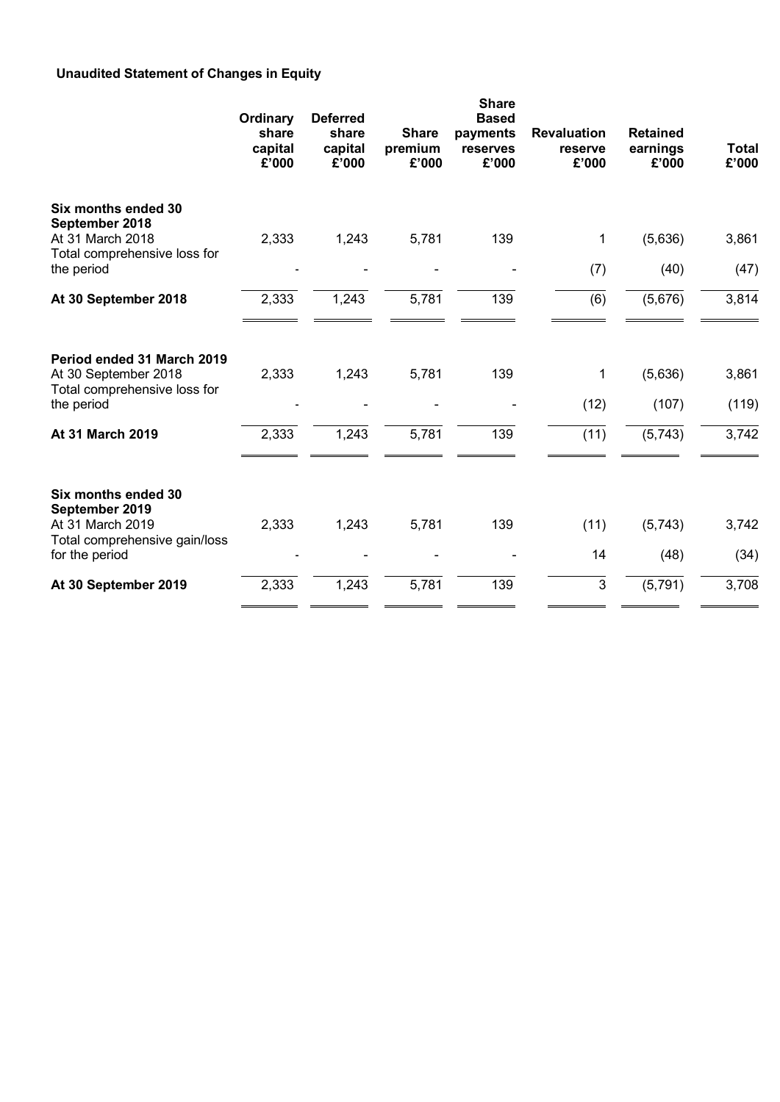# **Unaudited Statement of Changes in Equity**

|                                                                                    | Ordinary<br>share<br>capital<br>£'000 | <b>Deferred</b><br>share<br>capital<br>£'000 | <b>Share</b><br>premium<br>£'000 | <b>Share</b><br><b>Based</b><br>payments<br>reserves<br>£'000 | <b>Revaluation</b><br>reserve<br>£'000 | <b>Retained</b><br>earnings<br>£'000 | Total<br>£'000 |
|------------------------------------------------------------------------------------|---------------------------------------|----------------------------------------------|----------------------------------|---------------------------------------------------------------|----------------------------------------|--------------------------------------|----------------|
| Six months ended 30<br>September 2018                                              |                                       |                                              |                                  |                                                               |                                        |                                      |                |
| At 31 March 2018                                                                   | 2,333                                 | 1,243                                        | 5,781                            | 139                                                           | 1                                      | (5,636)                              | 3,861          |
| Total comprehensive loss for<br>the period                                         |                                       |                                              |                                  |                                                               | (7)                                    | (40)                                 | (47)           |
| At 30 September 2018                                                               | 2,333                                 | 1,243                                        | 5,781                            | 139                                                           | (6)                                    | (5,676)                              | 3,814          |
| Period ended 31 March 2019<br>At 30 September 2018<br>Total comprehensive loss for | 2,333                                 | 1,243                                        | 5,781                            | 139                                                           | 1                                      | (5,636)                              | 3,861          |
| the period                                                                         |                                       |                                              |                                  |                                                               | (12)                                   | (107)                                | (119)          |
| At 31 March 2019                                                                   | 2,333                                 | 1,243                                        | 5,781                            | 139                                                           | (11)                                   | (5,743)                              | 3,742          |
| Six months ended 30<br>September 2019<br>At 31 March 2019                          | 2,333                                 | 1,243                                        | 5,781                            | 139                                                           | (11)                                   | (5,743)                              | 3,742          |
| Total comprehensive gain/loss<br>for the period                                    |                                       |                                              |                                  |                                                               | 14                                     | (48)                                 | (34)           |
| At 30 September 2019                                                               | 2,333                                 | 1,243                                        | 5,781                            | 139                                                           | $\mathfrak{S}$                         | (5, 791)                             | 3,708          |
|                                                                                    |                                       |                                              |                                  |                                                               |                                        |                                      |                |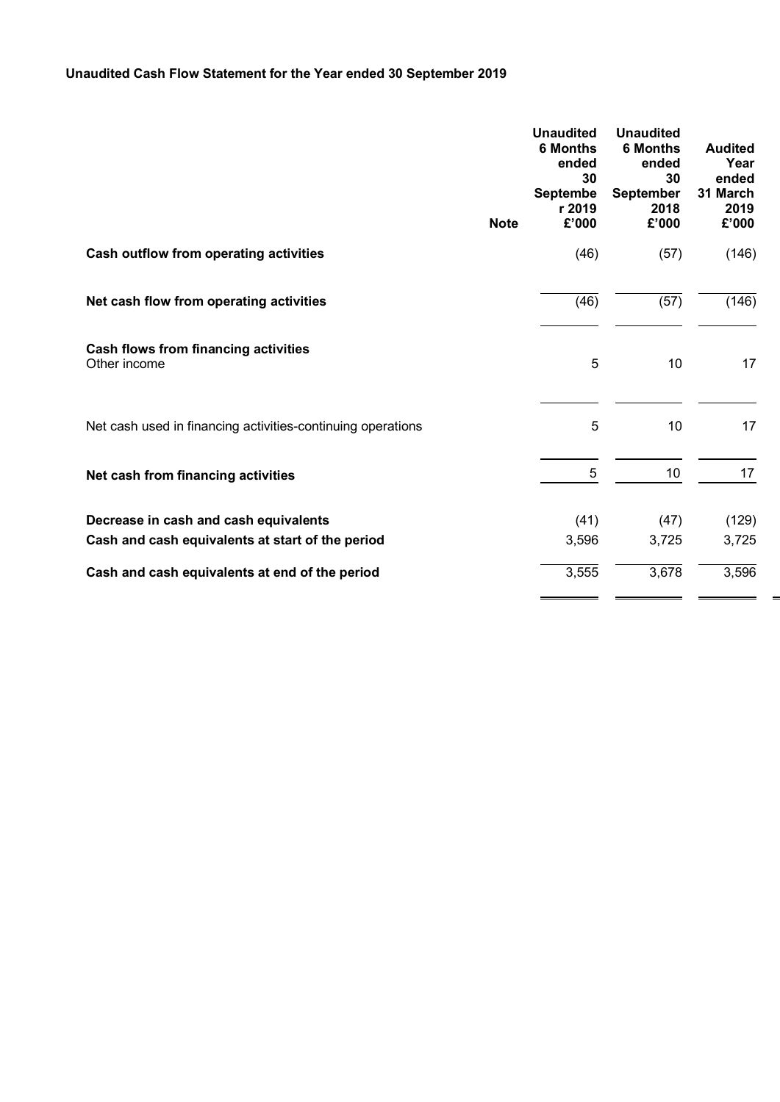# **Unaudited Cash Flow Statement for the Year ended 30 September 2019**

|                                                             | <b>Note</b> | <b>Unaudited</b><br><b>6 Months</b><br>ended<br>30<br><b>Septembe</b><br>r 2019<br>£'000 | <b>Unaudited</b><br><b>6 Months</b><br>ended<br>30<br><b>September</b><br>2018<br>£'000 | <b>Audited</b><br>Year<br>ended<br>31 March<br>2019<br>£'000 |
|-------------------------------------------------------------|-------------|------------------------------------------------------------------------------------------|-----------------------------------------------------------------------------------------|--------------------------------------------------------------|
| <b>Cash outflow from operating activities</b>               |             | (46)                                                                                     | (57)                                                                                    | (146)                                                        |
| Net cash flow from operating activities                     |             | (46)                                                                                     | (57)                                                                                    | (146)                                                        |
| <b>Cash flows from financing activities</b><br>Other income |             | 5                                                                                        | 10                                                                                      | 17                                                           |
| Net cash used in financing activities-continuing operations |             | 5                                                                                        | 10                                                                                      | 17                                                           |
| Net cash from financing activities                          |             | 5                                                                                        | 10                                                                                      | 17                                                           |
| Decrease in cash and cash equivalents                       |             | (41)                                                                                     | (47)                                                                                    | (129)                                                        |
| Cash and cash equivalents at start of the period            |             | 3,596                                                                                    | 3,725                                                                                   | 3,725                                                        |
| Cash and cash equivalents at end of the period              |             | 3,555                                                                                    | 3,678                                                                                   | 3,596                                                        |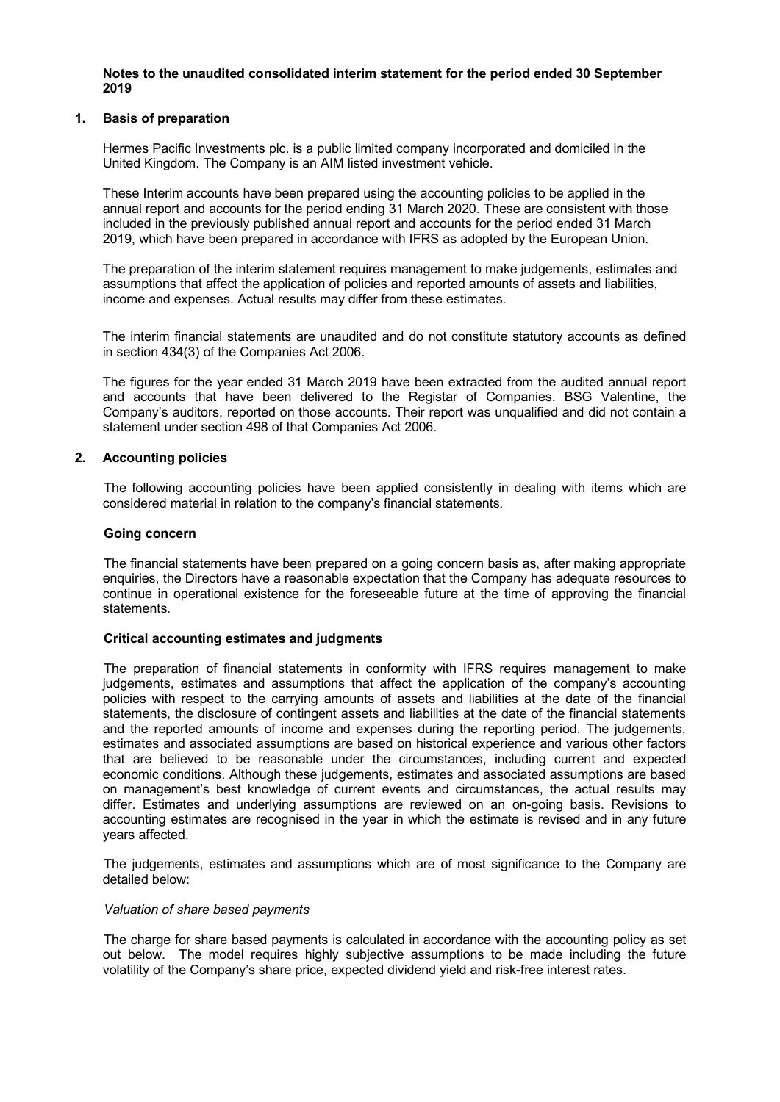### **Notes to the unaudited consolidated interim statement for the period ended 30 September 2019**

# **1. Basis of preparation**

Hermes Pacific Investments plc. is a public limited company incorporated and domiciled in the United Kingdom. The Company is an AIM listed investment vehicle.

These Interim accounts have been prepared using the accounting policies to be applied in the annual report and accounts for the period ending 31 March 2020. These are consistent with those included in the previously published annual report and accounts for the period ended 31 March 2019, which have been prepared in accordance with IFRS as adopted by the European Union.

The preparation of the interim statement requires management to make judgements, estimates and assumptions that affect the application of policies and reported amounts of assets and liabilities, income and expenses. Actual results may differ from these estimates.

The interim financial statements are unaudited and do not constitute statutory accounts as defined in section 434(3) of the Companies Act 2006.

The figures for the year ended 31 March 2019 have been extracted from the audited annual report and accounts that have been delivered to the Registar of Companies. BSG Valentine, the Company's auditors, reported on those accounts. Their report was unqualified and did not contain a statement under section 498 of that Companies Act 2006.

# **2. Accounting policies**

The following accounting policies have been applied consistently in dealing with items which are considered material in relation to the company's financial statements.

#### **Going concern**

The financial statements have been prepared on a going concern basis as, after making appropriate enquiries, the Directors have a reasonable expectation that the Company has adequate resources to continue in operational existence for the foreseeable future at the time of approving the financial statements.

#### **Critical accounting estimates and judgments**

The preparation of financial statements in conformity with IFRS requires management to make judgements, estimates and assumptions that affect the application of the company's accounting policies with respect to the carrying amounts of assets and liabilities at the date of the financial statements, the disclosure of contingent assets and liabilities at the date of the financial statements and the reported amounts of income and expenses during the reporting period. The judgements, estimates and associated assumptions are based on historical experience and various other factors that are believed to be reasonable under the circumstances, including current and expected economic conditions. Although these judgements, estimates and associated assumptions are based on management's best knowledge of current events and circumstances, the actual results may differ. Estimates and underlying assumptions are reviewed on an on-going basis. Revisions to accounting estimates are recognised in the year in which the estimate is revised and in any future years affected.

The judgements, estimates and assumptions which are of most significance to the Company are detailed below:

#### *Valuation of share based payments*

The charge for share based payments is calculated in accordance with the accounting policy as set out below. The model requires highly subjective assumptions to be made including the future volatility of the Company's share price, expected dividend yield and risk-free interest rates.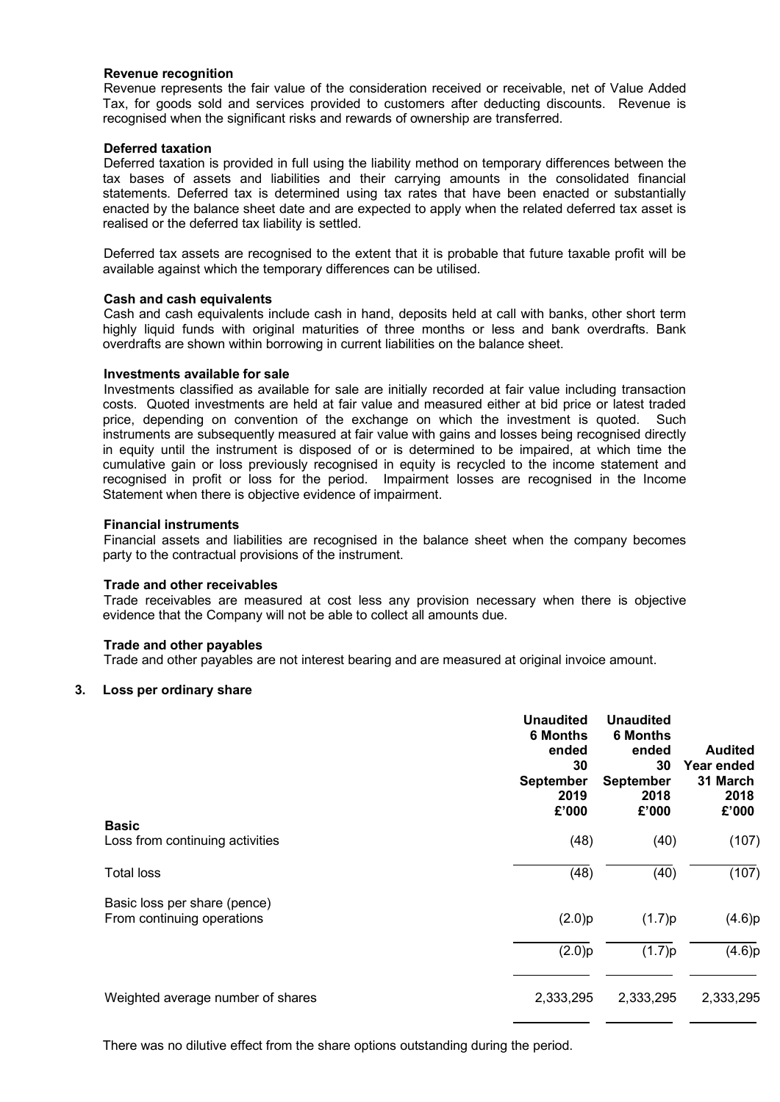#### **Revenue recognition**

Revenue represents the fair value of the consideration received or receivable, net of Value Added Tax, for goods sold and services provided to customers after deducting discounts. Revenue is recognised when the significant risks and rewards of ownership are transferred.

### **Deferred taxation**

Deferred taxation is provided in full using the liability method on temporary differences between the tax bases of assets and liabilities and their carrying amounts in the consolidated financial statements. Deferred tax is determined using tax rates that have been enacted or substantially enacted by the balance sheet date and are expected to apply when the related deferred tax asset is realised or the deferred tax liability is settled.

Deferred tax assets are recognised to the extent that it is probable that future taxable profit will be available against which the temporary differences can be utilised.

#### **Cash and cash equivalents**

Cash and cash equivalents include cash in hand, deposits held at call with banks, other short term highly liquid funds with original maturities of three months or less and bank overdrafts. Bank overdrafts are shown within borrowing in current liabilities on the balance sheet.

#### **Investments available for sale**

Investments classified as available for sale are initially recorded at fair value including transaction costs. Quoted investments are held at fair value and measured either at bid price or latest traded price, depending on convention of the exchange on which the investment is quoted. Such instruments are subsequently measured at fair value with gains and losses being recognised directly in equity until the instrument is disposed of or is determined to be impaired, at which time the cumulative gain or loss previously recognised in equity is recycled to the income statement and recognised in profit or loss for the period. Impairment losses are recognised in the Income Statement when there is objective evidence of impairment.

#### **Financial instruments**

Financial assets and liabilities are recognised in the balance sheet when the company becomes party to the contractual provisions of the instrument.

#### **Trade and other receivables**

Trade receivables are measured at cost less any provision necessary when there is objective evidence that the Company will not be able to collect all amounts due.

#### **Trade and other payables**

Trade and other payables are not interest bearing and are measured at original invoice amount.

#### **3. Loss per ordinary share**

| <b>Basic</b>                                               | <b>Unaudited</b><br><b>6 Months</b><br>ended<br>30<br><b>September</b><br>2019<br>£'000 | <b>Unaudited</b><br><b>6 Months</b><br>ended<br>30<br><b>September</b><br>2018<br>£'000 | <b>Audited</b><br>Year ended<br>31 March<br>2018<br>£'000 |
|------------------------------------------------------------|-----------------------------------------------------------------------------------------|-----------------------------------------------------------------------------------------|-----------------------------------------------------------|
| Loss from continuing activities                            | (48)                                                                                    | (40)                                                                                    | (107)                                                     |
| <b>Total loss</b>                                          | (48)                                                                                    | (40)                                                                                    | (107)                                                     |
| Basic loss per share (pence)<br>From continuing operations | (2.0)p                                                                                  | (1.7)p                                                                                  | (4.6)p                                                    |
|                                                            | (2.0)p                                                                                  | (1.7)p                                                                                  | (4.6)p                                                    |
| Weighted average number of shares                          | 2,333,295                                                                               | 2,333,295                                                                               | 2,333,295                                                 |

There was no dilutive effect from the share options outstanding during the period.